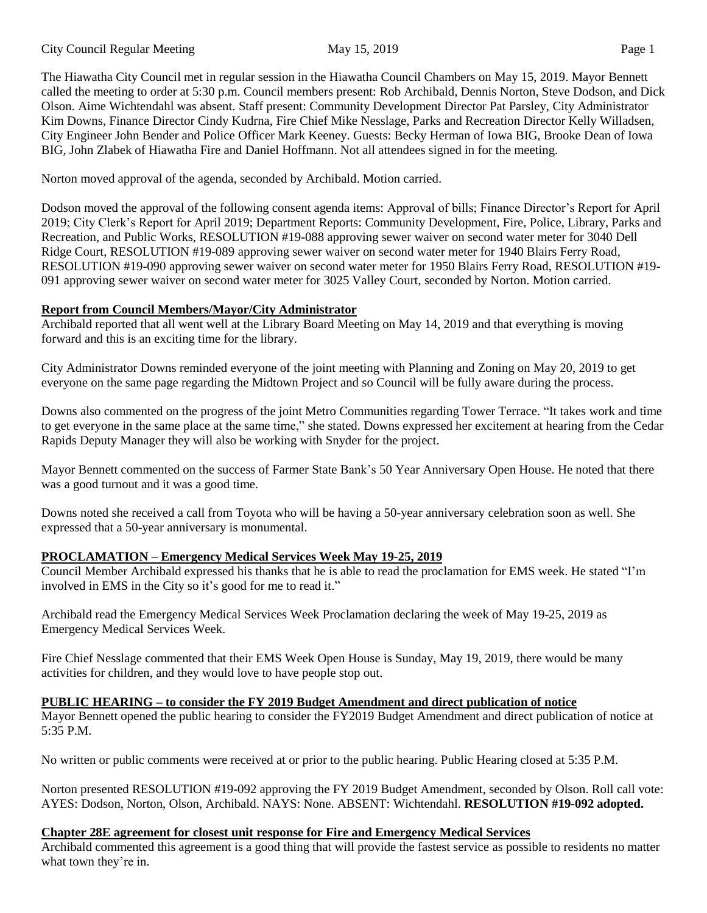The Hiawatha City Council met in regular session in the Hiawatha Council Chambers on May 15, 2019. Mayor Bennett called the meeting to order at 5:30 p.m. Council members present: Rob Archibald, Dennis Norton, Steve Dodson, and Dick Olson. Aime Wichtendahl was absent. Staff present: Community Development Director Pat Parsley, City Administrator Kim Downs, Finance Director Cindy Kudrna, Fire Chief Mike Nesslage, Parks and Recreation Director Kelly Willadsen, City Engineer John Bender and Police Officer Mark Keeney. Guests: Becky Herman of Iowa BIG, Brooke Dean of Iowa BIG, John Zlabek of Hiawatha Fire and Daniel Hoffmann. Not all attendees signed in for the meeting.

Norton moved approval of the agenda, seconded by Archibald. Motion carried.

Dodson moved the approval of the following consent agenda items: Approval of bills; Finance Director's Report for April 2019; City Clerk's Report for April 2019; Department Reports: Community Development, Fire, Police, Library, Parks and Recreation, and Public Works, RESOLUTION #19-088 approving sewer waiver on second water meter for 3040 Dell Ridge Court, RESOLUTION #19-089 approving sewer waiver on second water meter for 1940 Blairs Ferry Road, RESOLUTION #19-090 approving sewer waiver on second water meter for 1950 Blairs Ferry Road, RESOLUTION #19- 091 approving sewer waiver on second water meter for 3025 Valley Court, seconded by Norton. Motion carried.

# **Report from Council Members/Mayor/City Administrator**

Archibald reported that all went well at the Library Board Meeting on May 14, 2019 and that everything is moving forward and this is an exciting time for the library.

City Administrator Downs reminded everyone of the joint meeting with Planning and Zoning on May 20, 2019 to get everyone on the same page regarding the Midtown Project and so Council will be fully aware during the process.

Downs also commented on the progress of the joint Metro Communities regarding Tower Terrace. "It takes work and time to get everyone in the same place at the same time," she stated. Downs expressed her excitement at hearing from the Cedar Rapids Deputy Manager they will also be working with Snyder for the project.

Mayor Bennett commented on the success of Farmer State Bank's 50 Year Anniversary Open House. He noted that there was a good turnout and it was a good time.

Downs noted she received a call from Toyota who will be having a 50-year anniversary celebration soon as well. She expressed that a 50-year anniversary is monumental.

# **PROCLAMATION – Emergency Medical Services Week May 19-25, 2019**

Council Member Archibald expressed his thanks that he is able to read the proclamation for EMS week. He stated "I'm involved in EMS in the City so it's good for me to read it."

Archibald read the Emergency Medical Services Week Proclamation declaring the week of May 19-25, 2019 as Emergency Medical Services Week.

Fire Chief Nesslage commented that their EMS Week Open House is Sunday, May 19, 2019, there would be many activities for children, and they would love to have people stop out.

# **PUBLIC HEARING – to consider the FY 2019 Budget Amendment and direct publication of notice**

Mayor Bennett opened the public hearing to consider the FY2019 Budget Amendment and direct publication of notice at 5:35 P.M.

No written or public comments were received at or prior to the public hearing. Public Hearing closed at 5:35 P.M.

Norton presented RESOLUTION #19-092 approving the FY 2019 Budget Amendment, seconded by Olson. Roll call vote: AYES: Dodson, Norton, Olson, Archibald. NAYS: None. ABSENT: Wichtendahl. **RESOLUTION #19-092 adopted.**

### **Chapter 28E agreement for closest unit response for Fire and Emergency Medical Services**

Archibald commented this agreement is a good thing that will provide the fastest service as possible to residents no matter what town they're in.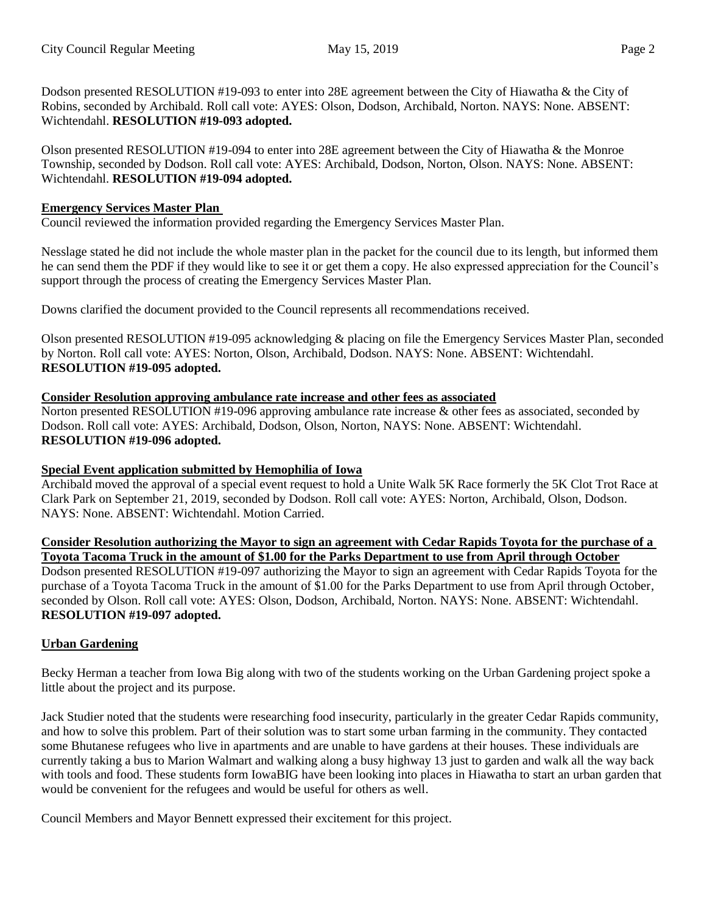Dodson presented RESOLUTION #19-093 to enter into 28E agreement between the City of Hiawatha & the City of Robins, seconded by Archibald. Roll call vote: AYES: Olson, Dodson, Archibald, Norton. NAYS: None. ABSENT: Wichtendahl. **RESOLUTION #19-093 adopted.** 

Olson presented RESOLUTION #19-094 to enter into 28E agreement between the City of Hiawatha & the Monroe Township, seconded by Dodson. Roll call vote: AYES: Archibald, Dodson, Norton, Olson. NAYS: None. ABSENT: Wichtendahl. **RESOLUTION #19-094 adopted.**

### **Emergency Services Master Plan**

Council reviewed the information provided regarding the Emergency Services Master Plan.

Nesslage stated he did not include the whole master plan in the packet for the council due to its length, but informed them he can send them the PDF if they would like to see it or get them a copy. He also expressed appreciation for the Council's support through the process of creating the Emergency Services Master Plan.

Downs clarified the document provided to the Council represents all recommendations received.

Olson presented RESOLUTION #19-095 acknowledging & placing on file the Emergency Services Master Plan, seconded by Norton. Roll call vote: AYES: Norton, Olson, Archibald, Dodson. NAYS: None. ABSENT: Wichtendahl. **RESOLUTION #19-095 adopted.** 

### **Consider Resolution approving ambulance rate increase and other fees as associated**

Norton presented RESOLUTION #19-096 approving ambulance rate increase & other fees as associated, seconded by Dodson. Roll call vote: AYES: Archibald, Dodson, Olson, Norton, NAYS: None. ABSENT: Wichtendahl. **RESOLUTION #19-096 adopted.** 

### **Special Event application submitted by Hemophilia of Iowa**

Archibald moved the approval of a special event request to hold a Unite Walk 5K Race formerly the 5K Clot Trot Race at Clark Park on September 21, 2019, seconded by Dodson. Roll call vote: AYES: Norton, Archibald, Olson, Dodson. NAYS: None. ABSENT: Wichtendahl. Motion Carried.

**Consider Resolution authorizing the Mayor to sign an agreement with Cedar Rapids Toyota for the purchase of a Toyota Tacoma Truck in the amount of \$1.00 for the Parks Department to use from April through October**

Dodson presented RESOLUTION #19-097 authorizing the Mayor to sign an agreement with Cedar Rapids Toyota for the purchase of a Toyota Tacoma Truck in the amount of \$1.00 for the Parks Department to use from April through October, seconded by Olson. Roll call vote: AYES: Olson, Dodson, Archibald, Norton. NAYS: None. ABSENT: Wichtendahl. **RESOLUTION #19-097 adopted.** 

### **Urban Gardening**

Becky Herman a teacher from Iowa Big along with two of the students working on the Urban Gardening project spoke a little about the project and its purpose.

Jack Studier noted that the students were researching food insecurity, particularly in the greater Cedar Rapids community, and how to solve this problem. Part of their solution was to start some urban farming in the community. They contacted some Bhutanese refugees who live in apartments and are unable to have gardens at their houses. These individuals are currently taking a bus to Marion Walmart and walking along a busy highway 13 just to garden and walk all the way back with tools and food. These students form IowaBIG have been looking into places in Hiawatha to start an urban garden that would be convenient for the refugees and would be useful for others as well.

Council Members and Mayor Bennett expressed their excitement for this project.